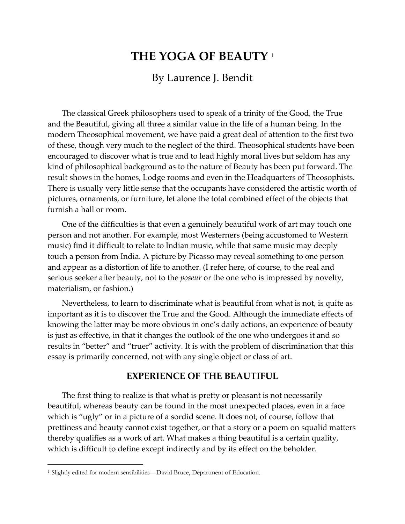# **THE YOGA OF BEAUTY** <sup>1</sup>

# By Laurence J. Bendit

The classical Greek philosophers used to speak of a trinity of the Good, the True and the Beautiful, giving all three a similar value in the life of a human being. In the modern Theosophical movement, we have paid a great deal of attention to the first two of these, though very much to the neglect of the third. Theosophical students have been encouraged to discover what is true and to lead highly moral lives but seldom has any kind of philosophical background as to the nature of Beauty has been put forward. The result shows in the homes, Lodge rooms and even in the Headquarters of Theosophists. There is usually very little sense that the occupants have considered the artistic worth of pictures, ornaments, or furniture, let alone the total combined effect of the objects that furnish a hall or room.

One of the difficulties is that even a genuinely beautiful work of art may touch one person and not another. For example, most Westerners (being accustomed to Western music) find it difficult to relate to Indian music, while that same music may deeply touch a person from India. A picture by Picasso may reveal something to one person and appear as a distortion of life to another. (I refer here, of course, to the real and serious seeker after beauty, not to the *poseur* or the one who is impressed by novelty, materialism, or fashion.)

Nevertheless, to learn to discriminate what is beautiful from what is not, is quite as important as it is to discover the True and the Good. Although the immediate effects of knowing the latter may be more obvious in one's daily actions, an experience of beauty is just as effective, in that it changes the outlook of the one who undergoes it and so results in "better" and "truer" activity. It is with the problem of discrimination that this essay is primarily concerned, not with any single object or class of art.

### **EXPERIENCE OF THE BEAUTIFUL**

The first thing to realize is that what is pretty or pleasant is not necessarily beautiful, whereas beauty can be found in the most unexpected places, even in a face which is "ugly" or in a picture of a sordid scene. It does not, of course, follow that prettiness and beauty cannot exist together, or that a story or a poem on squalid matters thereby qualifies as a work of art. What makes a thing beautiful is a certain quality, which is difficult to define except indirectly and by its effect on the beholder.

 $\overline{a}$ 

<sup>1</sup> Slightly edited for modern sensibilities—David Bruce, Department of Education.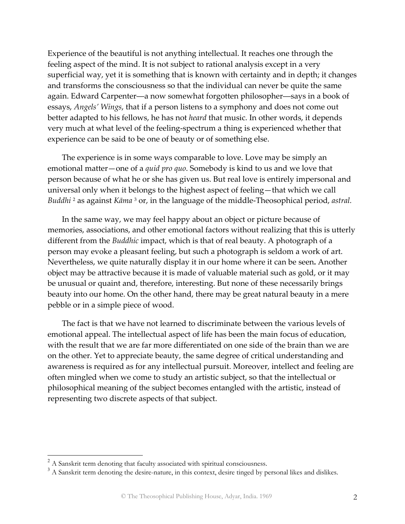Experience of the beautiful is not anything intellectual. It reaches one through the feeling aspect of the mind. It is not subject to rational analysis except in a very superficial way, yet it is something that is known with certainty and in depth; it changes and transforms the consciousness so that the individual can never be quite the same again. Edward Carpenter―a now somewhat forgotten philosopher―says in a book of essays, *Angels' Wings*, that if a person listens to a symphony and does not come out better adapted to his fellows, he has not *heard* that music. In other words, it depends very much at what level of the feeling-spectrum a thing is experienced whether that experience can be said to be one of beauty or of something else.

The experience is in some ways comparable to love. Love may be simply an emotional matter—one of a *quid pro quo*. Somebody is kind to us and we love that person because of what he or she has given us. But real love is entirely impersonal and universal only when it belongs to the highest aspect of feeling—that which we call *Buddhi* 2 as against *Kāma* 3 or, in the language of the middle-Theosophical period, *astral.*

In the same way, we may feel happy about an object or picture because of memories, associations, and other emotional factors without realizing that this is utterly different from the *Buddhic* impact, which is that of real beauty. A photograph of a person may evoke a pleasant feeling, but such a photograph is seldom a work of art. Nevertheless, we quite naturally display it in our home where it can be seen**.** Another object may be attractive because it is made of valuable material such as gold, or it may be unusual or quaint and, therefore, interesting. But none of these necessarily brings beauty into our home. On the other hand, there may be great natural beauty in a mere pebble or in a simple piece of wood.

The fact is that we have not learned to discriminate between the various levels of emotional appeal. The intellectual aspect of life has been the main focus of education, with the result that we are far more differentiated on one side of the brain than we are on the other. Yet to appreciate beauty, the same degree of critical understanding and awareness is required as for any intellectual pursuit. Moreover, intellect and feeling are often mingled when we come to study an artistic subject, so that the intellectual or philosophical meaning of the subject becomes entangled with the artistic, instead of representing two discrete aspects of that subject.

 $\overline{a}$ 

<sup>&</sup>lt;sup>2</sup> A Sanskrit term denoting that faculty associated with spiritual consciousness.

<sup>&</sup>lt;sup>3</sup> A Sanskrit term denoting the desire-nature, in this context, desire tinged by personal likes and dislikes.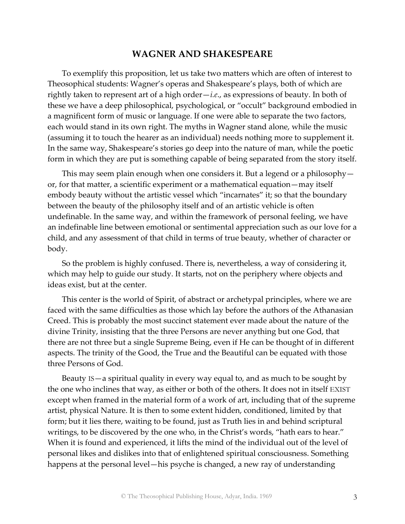## **WAGNER AND SHAKESPEARE**

To exemplify this proposition, let us take two matters which are often of interest to Theosophical students: Wagner's operas and Shakespeare's plays, both of which are rightly taken to represent art of a high order—*i.e*., as expressions of beauty. In both of these we have a deep philosophical, psychological, or "occult" background embodied in a magnificent form of music or language. If one were able to separate the two factors, each would stand in its own right. The myths in Wagner stand alone, while the music (assuming it to touch the hearer as an individual) needs nothing more to supplement it. In the same way, Shakespeare's stories go deep into the nature of man, while the poetic form in which they are put is something capable of being separated from the story itself.

This may seem plain enough when one considers it. But a legend or a philosophy or, for that matter, a scientific experiment or a mathematical equation—may itself embody beauty without the artistic vessel which "incarnates" it; so that the boundary between the beauty of the philosophy itself and of an artistic vehicle is often undefinable. In the same way, and within the framework of personal feeling, we have an indefinable line between emotional or sentimental appreciation such as our love for a child, and any assessment of that child in terms of true beauty, whether of character or body.

So the problem is highly confused. There is, nevertheless, a way of considering it, which may help to guide our study. It starts, not on the periphery where objects and ideas exist, but at the center.

This center is the world of Spirit, of abstract or archetypal principles, where we are faced with the same difficulties as those which lay before the authors of the Athanasian Creed. This is probably the most succinct statement ever made about the nature of the divine Trinity, insisting that the three Persons are never anything but one God, that there are not three but a single Supreme Being, even if He can be thought of in different aspects. The trinity of the Good, the True and the Beautiful can be equated with those three Persons of God.

Beauty IS—a spiritual quality in every way equal to, and as much to be sought by the one who inclines that way, as either or both of the others. It does not in itself EXIST except when framed in the material form of a work of art, including that of the supreme artist, physical Nature. It is then to some extent hidden, conditioned, limited by that form; but it lies there, waiting to be found, just as Truth lies in and behind scriptural writings, to be discovered by the one who, in the Christ's words, "hath ears to hear." When it is found and experienced, it lifts the mind of the individual out of the level of personal likes and dislikes into that of enlightened spiritual consciousness. Something happens at the personal level—his psyche is changed, a new ray of understanding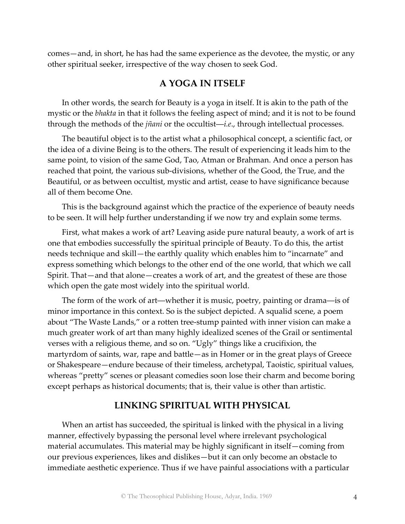comes—and, in short, he has had the same experience as the devotee, the mystic, or any other spiritual seeker, irrespective of the way chosen to seek God.

### **A YOGA IN ITSELF**

In other words, the search for Beauty is a yoga in itself. It is akin to the path of the mystic or the *bhakta* in that it follows the feeling aspect of mind; and it is not to be found through the methods of the *jñani* or the occultist―*i.e*., through intellectual processes.

The beautiful object is to the artist what a philosophical concept, a scientific fact, or the idea of a divine Being is to the others. The result of experiencing it leads him to the same point, to vision of the same God, Tao, Atman or Brahman. And once a person has reached that point, the various sub-divisions, whether of the Good, the True, and the Beautiful, or as between occultist, mystic and artist, cease to have significance because all of them become One.

This is the background against which the practice of the experience of beauty needs to be seen. It will help further understanding if we now try and explain some terms.

First, what makes a work of art? Leaving aside pure natural beauty, a work of art is one that embodies successfully the spiritual principle of Beauty. To do this, the artist needs technique and skill—the earthly quality which enables him to "incarnate" and express something which belongs to the other end of the one world, that which we call Spirit. That—and that alone—creates a work of art, and the greatest of these are those which open the gate most widely into the spiritual world.

The form of the work of art―whether it is music, poetry, painting or drama―is of minor importance in this context. So is the subject depicted. A squalid scene, a poem about "The Waste Lands," or a rotten tree-stump painted with inner vision can make a much greater work of art than many highly idealized scenes of the Grail or sentimental verses with a religious theme, and so on. "Ugly" things like a crucifixion, the martyrdom of saints, war, rape and battle—as in Homer or in the great plays of Greece or Shakespeare—endure because of their timeless, archetypal, Taoistic, spiritual values, whereas "pretty" scenes or pleasant comedies soon lose their charm and become boring except perhaps as historical documents; that is, their value is other than artistic.

#### **LINKING SPIRITUAL WITH PHYSICAL**

When an artist has succeeded, the spiritual is linked with the physical in a living manner, effectively bypassing the personal level where irrelevant psychological material accumulates. This material may be highly significant in itself—coming from our previous experiences, likes and dislikes—but it can only become an obstacle to immediate aesthetic experience. Thus if we have painful associations with a particular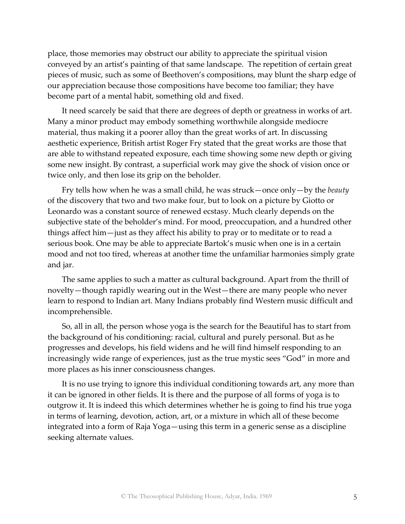place, those memories may obstruct our ability to appreciate the spiritual vision conveyed by an artist's painting of that same landscape. The repetition of certain great pieces of music, such as some of Beethoven's compositions, may blunt the sharp edge of our appreciation because those compositions have become too familiar; they have become part of a mental habit, something old and fixed.

It need scarcely be said that there are degrees of depth or greatness in works of art. Many a minor product may embody something worthwhile alongside mediocre material, thus making it a poorer alloy than the great works of art. In discussing aesthetic experience, British artist Roger Fry stated that the great works are those that are able to withstand repeated exposure, each time showing some new depth or giving some new insight. By contrast, a superficial work may give the shock of vision once or twice only, and then lose its grip on the beholder.

Fry tells how when he was a small child, he was struck—once only—by the *beauty* of the discovery that two and two make four, but to look on a picture by Giotto or Leonardo was a constant source of renewed ecstasy. Much clearly depends on the subjective state of the beholder's mind. For mood, preoccupation, and a hundred other things affect him—just as they affect his ability to pray or to meditate or to read a serious book. One may be able to appreciate Bartok's music when one is in a certain mood and not too tired, whereas at another time the unfamiliar harmonies simply grate and jar.

The same applies to such a matter as cultural background. Apart from the thrill of novelty—though rapidly wearing out in the West—there are many people who never learn to respond to Indian art. Many Indians probably find Western music difficult and incomprehensible.

So, all in all, the person whose yoga is the search for the Beautiful has to start from the background of his conditioning: racial, cultural and purely personal. But as he progresses and develops, his field widens and he will find himself responding to an increasingly wide range of experiences, just as the true mystic sees "God" in more and more places as his inner consciousness changes.

It is no use trying to ignore this individual conditioning towards art, any more than it can be ignored in other fields. It is there and the purpose of all forms of yoga is to outgrow it. It is indeed this which determines whether he is going to find his true yoga in terms of learning, devotion, action, art, or a mixture in which all of these become integrated into a form of Raja Yoga—using this term in a generic sense as a discipline seeking alternate values.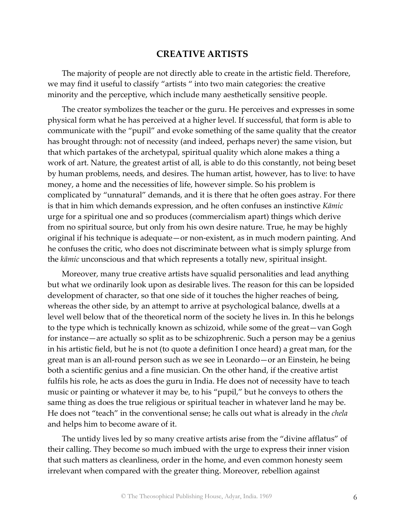#### **CREATIVE ARTISTS**

The majority of people are not directly able to create in the artistic field. Therefore, we may find it useful to classify "artists " into two main categories: the creative minority and the perceptive, which include many aesthetically sensitive people.

The creator symbolizes the teacher or the guru. He perceives and expresses in some physical form what he has perceived at a higher level. If successful, that form is able to communicate with the "pupil" and evoke something of the same quality that the creator has brought through: not of necessity (and indeed, perhaps never) the same vision, but that which partakes of the archetypal, spiritual quality which alone makes a thing a work of art. Nature, the greatest artist of all, is able to do this constantly, not being beset by human problems, needs, and desires. The human artist, however, has to live: to have money, a home and the necessities of life, however simple. So his problem is complicated by "unnatural" demands, and it is there that he often goes astray. For there is that in him which demands expression, and he often confuses an instinctive *Kāmic* urge for a spiritual one and so produces (commercialism apart) things which derive from no spiritual source, but only from his own desire nature. True, he may be highly original if his technique is adequate—or non-existent, as in much modern painting. And he confuses the critic, who does not discriminate between what is simply splurge from the *kāmic* unconscious and that which represents a totally new, spiritual insight.

Moreover, many true creative artists have squalid personalities and lead anything but what we ordinarily look upon as desirable lives. The reason for this can be lopsided development of character, so that one side of it touches the higher reaches of being, whereas the other side, by an attempt to arrive at psychological balance, dwells at a level well below that of the theoretical norm of the society he lives in. In this he belongs to the type which is technically known as schizoid, while some of the great—van Gogh for instance—are actually so split as to be schizophrenic. Such a person may be a genius in his artistic field, but he is not (to quote a definition I once heard) a great man, for the great man is an all-round person such as we see in Leonardo—or an Einstein, he being both a scientific genius and a fine musician. On the other hand, if the creative artist fulfils his role, he acts as does the guru in India. He does not of necessity have to teach music or painting or whatever it may be, to his "pupil," but he conveys to others the same thing as does the true religious or spiritual teacher in whatever land he may be. He does not "teach" in the conventional sense; he calls out what is already in the *chela* and helps him to become aware of it.

The untidy lives led by so many creative artists arise from the "divine afflatus" of their calling. They become so much imbued with the urge to express their inner vision that such matters as cleanliness, order in the home, and even common honesty seem irrelevant when compared with the greater thing. Moreover, rebellion against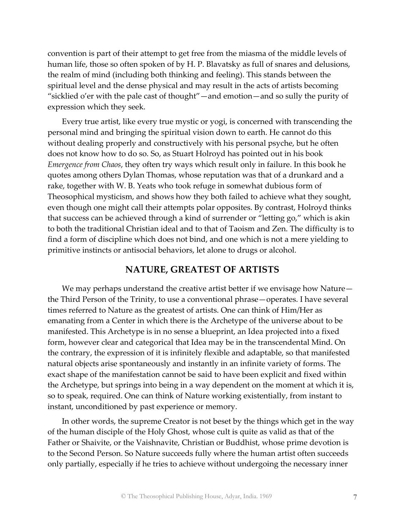convention is part of their attempt to get free from the miasma of the middle levels of human life, those so often spoken of by H. P. Blavatsky as full of snares and delusions, the realm of mind (including both thinking and feeling). This stands between the spiritual level and the dense physical and may result in the acts of artists becoming "sicklied o'er with the pale cast of thought"—and emotion—and so sully the purity of expression which they seek.

Every true artist, like every true mystic or yogi, is concerned with transcending the personal mind and bringing the spiritual vision down to earth. He cannot do this without dealing properly and constructively with his personal psyche, but he often does not know how to do so. So, as Stuart Holroyd has pointed out in his book *Emergence from Chaos*, they often try ways which result only in failure. In this book he quotes among others Dylan Thomas, whose reputation was that of a drunkard and a rake, together with W. B. Yeats who took refuge in somewhat dubious form of Theosophical mysticism, and shows how they both failed to achieve what they sought, even though one might call their attempts polar opposites. By contrast, Holroyd thinks that success can be achieved through a kind of surrender or "letting go," which is akin to both the traditional Christian ideal and to that of Taoism and Zen. The difficulty is to find a form of discipline which does not bind, and one which is not a mere yielding to primitive instincts or antisocial behaviors, let alone to drugs or alcohol.

#### **NATURE, GREATEST OF ARTISTS**

We may perhaps understand the creative artist better if we envisage how Nature the Third Person of the Trinity, to use a conventional phrase—operates. I have several times referred to Nature as the greatest of artists. One can think of Him/Her as emanating from a Center in which there is the Archetype of the universe about to be manifested. This Archetype is in no sense a blueprint, an Idea projected into a fixed form, however clear and categorical that Idea may be in the transcendental Mind. On the contrary, the expression of it is infinitely flexible and adaptable, so that manifested natural objects arise spontaneously and instantly in an infinite variety of forms. The exact shape of the manifestation cannot be said to have been explicit and fixed within the Archetype, but springs into being in a way dependent on the moment at which it is, so to speak, required. One can think of Nature working existentially, from instant to instant, unconditioned by past experience or memory.

In other words, the supreme Creator is not beset by the things which get in the way of the human disciple of the Holy Ghost, whose cult is quite as valid as that of the Father or Shaivite, or the Vaishnavite, Christian or Buddhist, whose prime devotion is to the Second Person. So Nature succeeds fully where the human artist often succeeds only partially, especially if he tries to achieve without undergoing the necessary inner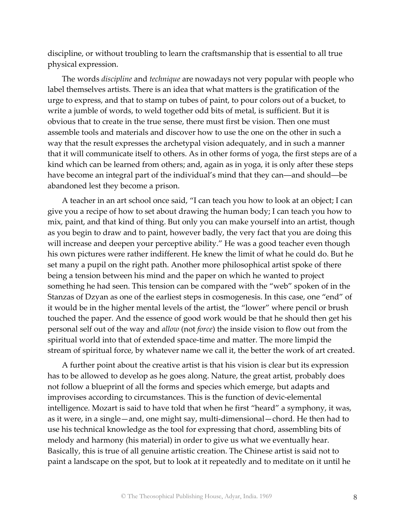discipline, or without troubling to learn the craftsmanship that is essential to all true physical expression.

The words *discipline* and *technique* are nowadays not very popular with people who label themselves artists. There is an idea that what matters is the gratification of the urge to express, and that to stamp on tubes of paint, to pour colors out of a bucket, to write a jumble of words, to weld together odd bits of metal, is sufficient. But it is obvious that to create in the true sense, there must first be vision. Then one must assemble tools and materials and discover how to use the one on the other in such a way that the result expresses the archetypal vision adequately, and in such a manner that it will communicate itself to others. As in other forms of yoga, the first steps are of a kind which can be learned from others; and, again as in yoga, it is only after these steps have become an integral part of the individual's mind that they can—and should—be abandoned lest they become a prison.

A teacher in an art school once said, "I can teach you how to look at an object; I can give you a recipe of how to set about drawing the human body; I can teach you how to mix, paint, and that kind of thing. But only you can make yourself into an artist, though as you begin to draw and to paint, however badly, the very fact that you are doing this will increase and deepen your perceptive ability." He was a good teacher even though his own pictures were rather indifferent. He knew the limit of what he could do. But he set many a pupil on the right path. Another more philosophical artist spoke of there being a tension between his mind and the paper on which he wanted to project something he had seen. This tension can be compared with the "web" spoken of in the Stanzas of Dzyan as one of the earliest steps in cosmogenesis. In this case, one "end" of it would be in the higher mental levels of the artist, the "lower" where pencil or brush touched the paper. And the essence of good work would be that he should then get his personal self out of the way and *allow* (not *force*) the inside vision to flow out from the spiritual world into that of extended space-time and matter. The more limpid the stream of spiritual force, by whatever name we call it, the better the work of art created.

A further point about the creative artist is that his vision is clear but its expression has to be allowed to develop as he goes along. Nature, the great artist, probably does not follow a blueprint of all the forms and species which emerge, but adapts and improvises according to circumstances. This is the function of devic-elemental intelligence. Mozart is said to have told that when he first "heard" a symphony, it was, as it were, in a single—and, one might say, multi-dimensional—chord. He then had to use his technical knowledge as the tool for expressing that chord, assembling bits of melody and harmony (his material) in order to give us what we eventually hear. Basically, this is true of all genuine artistic creation. The Chinese artist is said not to paint a landscape on the spot, but to look at it repeatedly and to meditate on it until he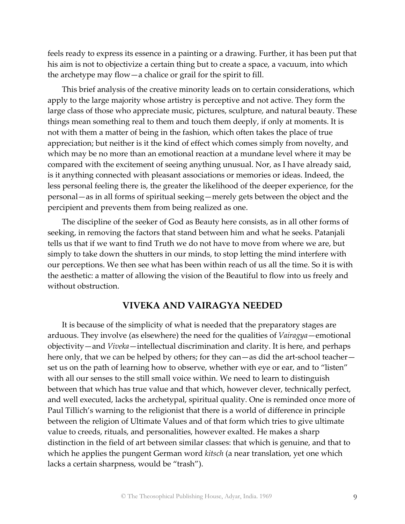feels ready to express its essence in a painting or a drawing. Further, it has been put that his aim is not to objectivize a certain thing but to create a space, a vacuum, into which the archetype may flow—a chalice or grail for the spirit to fill.

This brief analysis of the creative minority leads on to certain considerations, which apply to the large majority whose artistry is perceptive and not active. They form the large class of those who appreciate music, pictures, sculpture, and natural beauty. These things mean something real to them and touch them deeply, if only at moments. It is not with them a matter of being in the fashion, which often takes the place of true appreciation; but neither is it the kind of effect which comes simply from novelty, and which may be no more than an emotional reaction at a mundane level where it may be compared with the excitement of seeing anything unusual. Nor, as I have already said, is it anything connected with pleasant associations or memories or ideas. Indeed, the less personal feeling there is, the greater the likelihood of the deeper experience, for the personal—as in all forms of spiritual seeking—merely gets between the object and the percipient and prevents them from being realized as one.

The discipline of the seeker of God as Beauty here consists, as in all other forms of seeking, in removing the factors that stand between him and what he seeks. Patanjali tells us that if we want to find Truth we do not have to move from where we are, but simply to take down the shutters in our minds, to stop letting the mind interfere with our perceptions. We then see what has been within reach of us all the time. So it is with the aesthetic: a matter of allowing the vision of the Beautiful to flow into us freely and without obstruction.

### **VIVEKA AND VAIRAGYA NEEDED**

It is because of the simplicity of what is needed that the preparatory stages are arduous. They involve (as elsewhere) the need for the qualities of *Vairagya*—emotional objectivity—and *Viveka*—intellectual discrimination and clarity. It is here, and perhaps here only, that we can be helped by others; for they can—as did the art-school teacher set us on the path of learning how to observe, whether with eye or ear, and to "listen" with all our senses to the still small voice within. We need to learn to distinguish between that which has true value and that which, however clever, technically perfect, and well executed, lacks the archetypal, spiritual quality. One is reminded once more of Paul Tillich's warning to the religionist that there is a world of difference in principle between the religion of Ultimate Values and of that form which tries to give ultimate value to creeds, rituals, and personalities, however exalted. He makes a sharp distinction in the field of art between similar classes: that which is genuine, and that to which he applies the pungent German word *kitsch* (a near translation, yet one which lacks a certain sharpness, would be "trash").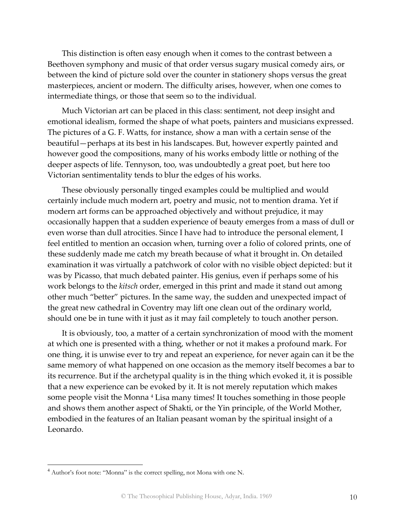This distinction is often easy enough when it comes to the contrast between a Beethoven symphony and music of that order versus sugary musical comedy airs, or between the kind of picture sold over the counter in stationery shops versus the great masterpieces, ancient or modern. The difficulty arises, however, when one comes to intermediate things, or those that seem so to the individual.

Much Victorian art can be placed in this class: sentiment, not deep insight and emotional idealism, formed the shape of what poets, painters and musicians expressed. The pictures of a G. F. Watts, for instance, show a man with a certain sense of the beautiful—perhaps at its best in his landscapes. But, however expertly painted and however good the compositions, many of his works embody little or nothing of the deeper aspects of life. Tennyson, too, was undoubtedly a great poet, but here too Victorian sentimentality tends to blur the edges of his works.

These obviously personally tinged examples could be multiplied and would certainly include much modern art, poetry and music, not to mention drama. Yet if modern art forms can be approached objectively and without prejudice, it may occasionally happen that a sudden experience of beauty emerges from a mass of dull or even worse than dull atrocities. Since I have had to introduce the personal element, I feel entitled to mention an occasion when, turning over a folio of colored prints, one of these suddenly made me catch my breath because of what it brought in. On detailed examination it was virtually a patchwork of color with no visible object depicted: but it was by Picasso, that much debated painter. His genius, even if perhaps some of his work belongs to the *kitsch* order, emerged in this print and made it stand out among other much "better" pictures. In the same way, the sudden and unexpected impact of the great new cathedral in Coventry may lift one clean out of the ordinary world, should one be in tune with it just as it may fail completely to touch another person.

It is obviously, too, a matter of a certain synchronization of mood with the moment at which one is presented with a thing, whether or not it makes a profound mark. For one thing, it is unwise ever to try and repeat an experience, for never again can it be the same memory of what happened on one occasion as the memory itself becomes a bar to its recurrence. But if the archetypal quality is in the thing which evoked it, it is possible that a new experience can be evoked by it. It is not merely reputation which makes some people visit the Monna<sup>4</sup> Lisa many times! It touches something in those people and shows them another aspect of Shakti, or the Yin principle, of the World Mother, embodied in the features of an Italian peasant woman by the spiritual insight of a Leonardo.

 $\overline{a}$ 

<sup>&</sup>lt;sup>4</sup> Author's foot note: "Monna" is the correct spelling, not Mona with one N.